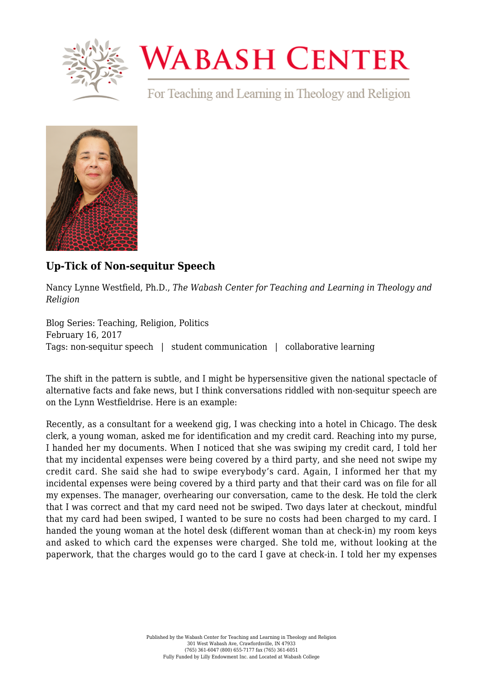

## **WABASH CENTER**

For Teaching and Learning in Theology and Religion



## **[Up-Tick of Non-sequitur Speech](https://www.wabashcenter.wabash.edu/2017/02/up-tick-of-non-sequitur-speech/)**

Nancy Lynne Westfield, Ph.D., *The Wabash Center for Teaching and Learning in Theology and Religion*

Blog Series: Teaching, Religion, Politics February 16, 2017 Tags: non-sequitur speech | student communication | collaborative learning

The shift in the pattern is subtle, and I might be hypersensitive given the national spectacle of alternative facts and fake news, but I think conversations riddled with non-sequitur speech are on the Lynn Westfieldrise. Here is an example:

Recently, as a consultant for a weekend gig, I was checking into a hotel in Chicago. The desk clerk, a young woman, asked me for identification and my credit card. Reaching into my purse, I handed her my documents. When I noticed that she was swiping my credit card, I told her that my incidental expenses were being covered by a third party, and she need not swipe my credit card. She said she had to swipe everybody's card. Again, I informed her that my incidental expenses were being covered by a third party and that their card was on file for all my expenses. The manager, overhearing our conversation, came to the desk. He told the clerk that I was correct and that my card need not be swiped. Two days later at checkout, mindful that my card had been swiped, I wanted to be sure no costs had been charged to my card. I handed the young woman at the hotel desk (different woman than at check-in) my room keys and asked to which card the expenses were charged. She told me, without looking at the paperwork, that the charges would go to the card I gave at check-in. I told her my expenses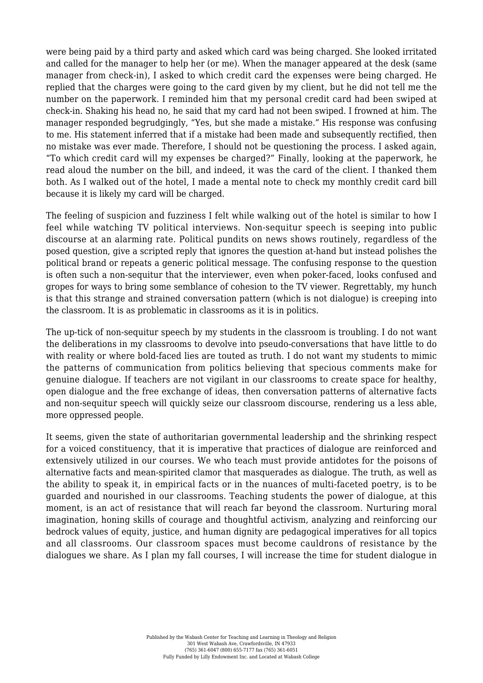were being paid by a third party and asked which card was being charged. She looked irritated and called for the manager to help her (or me). When the manager appeared at the desk (same manager from check-in), I asked to which credit card the expenses were being charged. He replied that the charges were going to the card given by my client, but he did not tell me the number on the paperwork. I reminded him that my personal credit card had been swiped at check-in. Shaking his head no, he said that my card had not been swiped. I frowned at him. The manager responded begrudgingly, "Yes, but she made a mistake." His response was confusing to me. His statement inferred that if a mistake had been made and subsequently rectified, then no mistake was ever made. Therefore, I should not be questioning the process. I asked again, "To which credit card will my expenses be charged?" Finally, looking at the paperwork, he read aloud the number on the bill, and indeed, it was the card of the client. I thanked them both. As I walked out of the hotel, I made a mental note to check my monthly credit card bill because it is likely my card will be charged.

The feeling of suspicion and fuzziness I felt while walking out of the hotel is similar to how I feel while watching TV political interviews. Non-sequitur speech is seeping into public discourse at an alarming rate. Political pundits on news shows routinely, regardless of the posed question, give a scripted reply that ignores the question at-hand but instead polishes the political brand or repeats a generic political message. The confusing response to the question is often such a non-sequitur that the interviewer, even when poker-faced, looks confused and gropes for ways to bring some semblance of cohesion to the TV viewer. Regrettably, my hunch is that this strange and strained conversation pattern (which is not dialogue) is creeping into the classroom. It is as problematic in classrooms as it is in politics.

The up-tick of non-sequitur speech by my students in the classroom is troubling. I do not want the deliberations in my classrooms to devolve into pseudo-conversations that have little to do with reality or where bold-faced lies are touted as truth. I do not want my students to mimic the patterns of communication from politics believing that specious comments make for genuine dialogue. If teachers are not vigilant in our classrooms to create space for healthy, open dialogue and the free exchange of ideas, then conversation patterns of alternative facts and non-sequitur speech will quickly seize our classroom discourse, rendering us a less able, more oppressed people.

It seems, given the state of authoritarian governmental leadership and the shrinking respect for a voiced constituency, that it is imperative that practices of dialogue are reinforced and extensively utilized in our courses. We who teach must provide antidotes for the poisons of alternative facts and mean-spirited clamor that masquerades as dialogue. The truth, as well as the ability to speak it, in empirical facts or in the nuances of multi-faceted poetry, is to be guarded and nourished in our classrooms. Teaching students the power of dialogue, at this moment, is an act of resistance that will reach far beyond the classroom. Nurturing moral imagination, honing skills of courage and thoughtful activism, analyzing and reinforcing our bedrock values of equity, justice, and human dignity are pedagogical imperatives for all topics and all classrooms. Our classroom spaces must become cauldrons of resistance by the dialogues we share. As I plan my fall courses, I will increase the time for student dialogue in